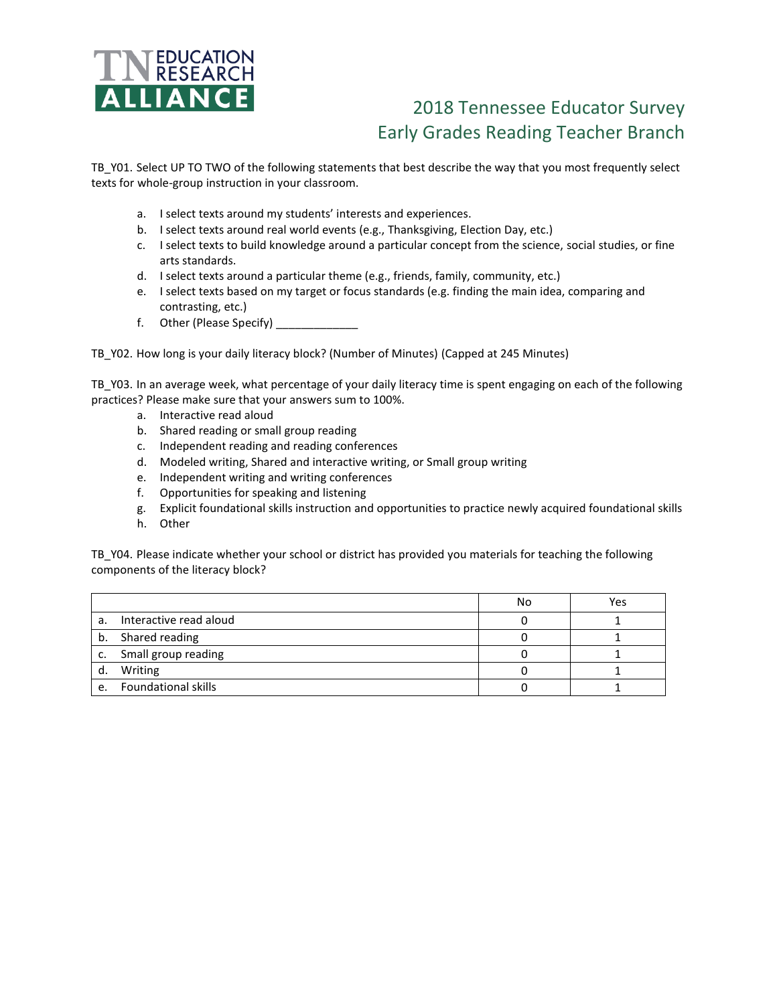

## 2018 Tennessee Educator Survey Early Grades Reading Teacher Branch

TB\_Y01. Select UP TO TWO of the following statements that best describe the way that you most frequently select texts for whole-group instruction in your classroom.

- a. I select texts around my students' interests and experiences.
- b. I select texts around real world events (e.g., Thanksgiving, Election Day, etc.)
- c. I select texts to build knowledge around a particular concept from the science, social studies, or fine arts standards.
- d. I select texts around a particular theme (e.g., friends, family, community, etc.)
- e. I select texts based on my target or focus standards (e.g. finding the main idea, comparing and contrasting, etc.)
- f. Other (Please Specify) \_\_\_\_\_\_\_\_\_\_\_\_\_

TB\_Y02. How long is your daily literacy block? (Number of Minutes) (Capped at 245 Minutes)

TB\_Y03. In an average week, what percentage of your daily literacy time is spent engaging on each of the following practices? Please make sure that your answers sum to 100%.

- a. Interactive read aloud
- b. Shared reading or small group reading
- c. Independent reading and reading conferences
- d. Modeled writing, Shared and interactive writing, or Small group writing
- e. Independent writing and writing conferences
- f. Opportunities for speaking and listening
- g. Explicit foundational skills instruction and opportunities to practice newly acquired foundational skills
- h. Other

TB\_Y04. Please indicate whether your school or district has provided you materials for teaching the following components of the literacy block?

|    |                            | No | Yes |
|----|----------------------------|----|-----|
| a. | Interactive read aloud     |    |     |
|    | b. Shared reading          |    |     |
| C. | Small group reading        |    |     |
| d. | Writing                    |    |     |
| e. | <b>Foundational skills</b> |    |     |